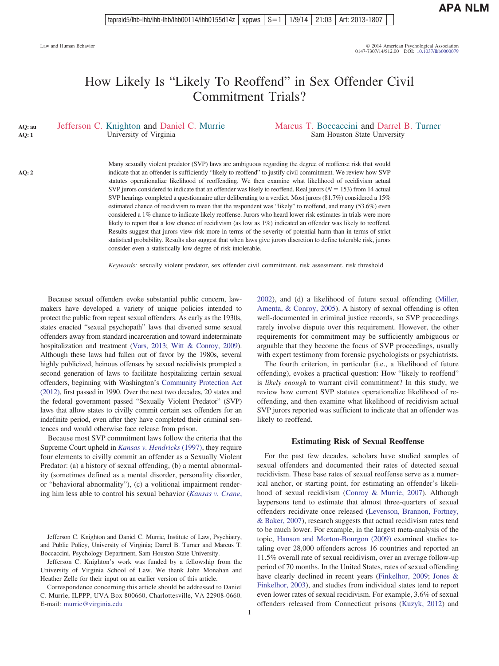**APA NLM**

# How Likely Is "Likely To Reoffend" in Sex Offender Civil Commitment Trials?

#### Jefferson C. Knighton and Daniel C. Murrie University of Virginia **AQ: au AQ: 1**

Marcus T. Boccaccini and Darrel B. Turner Sam Houston State University

**AQ: 2**

Many sexually violent predator (SVP) laws are ambiguous regarding the degree of reoffense risk that would indicate that an offender is sufficiently "likely to reoffend" to justify civil commitment. We review how SVP statutes operationalize likelihood of reoffending. We then examine what likelihood of recidivism actual SVP jurors considered to indicate that an offender was likely to reoffend. Real jurors ( $N = 153$ ) from 14 actual SVP hearings completed a questionnaire after deliberating to a verdict. Most jurors (81.7%) considered a 15% estimated chance of recidivism to mean that the respondent was "likely" to reoffend, and many (53.6%) even considered a 1% chance to indicate likely reoffense. Jurors who heard lower risk estimates in trials were more likely to report that a low chance of recidivism (as low as  $1\%$ ) indicated an offender was likely to reoffend. Results suggest that jurors view risk more in terms of the severity of potential harm than in terms of strict statistical probability. Results also suggest that when laws give jurors discretion to define tolerable risk, jurors consider even a statistically low degree of risk intolerable.

*Keywords:* sexually violent predator, sex offender civil commitment, risk assessment, risk threshold

Because sexual offenders evoke substantial public concern, lawmakers have developed a variety of unique policies intended to protect the public from repeat sexual offenders. As early as the 1930s, states enacted "sexual psychopath" laws that diverted some sexual offenders away from standard incarceration and toward indeterminate hospitalization and treatment [\(Vars, 2013;](#page-11-0) [Witt & Conroy, 2009\)](#page-11-1). Although these laws had fallen out of favor by the 1980s, several highly publicized, heinous offenses by sexual recidivists prompted a second generation of laws to facilitate hospitalizing certain sexual offenders, beginning with Washington's [Community Protection Act](#page-10-0) [\(2012\),](#page-10-0) first passed in 1990. Over the next two decades, 20 states and the federal government passed "Sexually Violent Predator" (SVP) laws that allow states to civilly commit certain sex offenders for an indefinite period, even after they have completed their criminal sentences and would otherwise face release from prison.

Because most SVP commitment laws follow the criteria that the Supreme Court upheld in *[Kansas v. Hendricks](#page-10-1)* (1997), they require four elements to civilly commit an offender as a Sexually Violent Predator: (a) a history of sexual offending, (b) a mental abnormality (sometimes defined as a mental disorder, personality disorder, or "behavioral abnormality"), (c) a volitional impairment rendering him less able to control his sexual behavior (*[Kansas v. Crane](#page-10-2)*,

[2002\)](#page-10-2), and (d) a likelihood of future sexual offending [\(Miller,](#page-10-3) [Amenta, & Conroy, 2005\)](#page-10-3). A history of sexual offending is often well-documented in criminal justice records, so SVP proceedings rarely involve dispute over this requirement. However, the other requirements for commitment may be sufficiently ambiguous or arguable that they become the focus of SVP proceedings, usually with expert testimony from forensic psychologists or psychiatrists.

The fourth criterion, in particular (i.e., a likelihood of future offending), evokes a practical question: How "likely to reoffend" is *likely enough* to warrant civil commitment? In this study, we review how current SVP statutes operationalize likelihood of reoffending, and then examine what likelihood of recidivism actual SVP jurors reported was sufficient to indicate that an offender was likely to reoffend.

#### **Estimating Risk of Sexual Reoffense**

For the past few decades, scholars have studied samples of sexual offenders and documented their rates of detected sexual recidivism. These base rates of sexual reoffense serve as a numerical anchor, or starting point, for estimating an offender's likelihood of sexual recidivism [\(Conroy & Murrie, 2007\)](#page-10-4). Although laypersons tend to estimate that almost three-quarters of sexual offenders recidivate once released [\(Levenson, Brannon, Fortney,](#page-10-5) [& Baker, 2007\)](#page-10-5), research suggests that actual recidivism rates tend to be much lower. For example, in the largest meta-analysis of the topic, [Hanson and Morton-Bourgon \(2009\)](#page-10-6) examined studies totaling over 28,000 offenders across 16 countries and reported an 11.5% overall rate of sexual recidivism, over an average follow-up period of 70 months. In the United States, rates of sexual offending have clearly declined in recent years [\(Finkelhor, 2009;](#page-10-7) [Jones &](#page-10-8) [Finkelhor, 2003\)](#page-10-8), and studies from individual states tend to report even lower rates of sexual recidivism. For example, 3.6% of sexual offenders released from Connecticut prisons [\(Kuzyk, 2012\)](#page-10-9) and

Jefferson C. Knighton and Daniel C. Murrie, Institute of Law, Psychiatry, and Public Policy, University of Virginia; Darrel B. Turner and Marcus T. Boccaccini, Psychology Department, Sam Houston State University.

Jefferson C. Knighton's work was funded by a fellowship from the University of Virginia School of Law. We thank John Monahan and Heather Zelle for their input on an earlier version of this article.

Correspondence concerning this article should be addressed to Daniel C. Murrie, ILPPP, UVA Box 800660, Charlottesville, VA 22908-0660. E-mail: [murrie@virginia.edu](mailto:murrie@virginia.edu)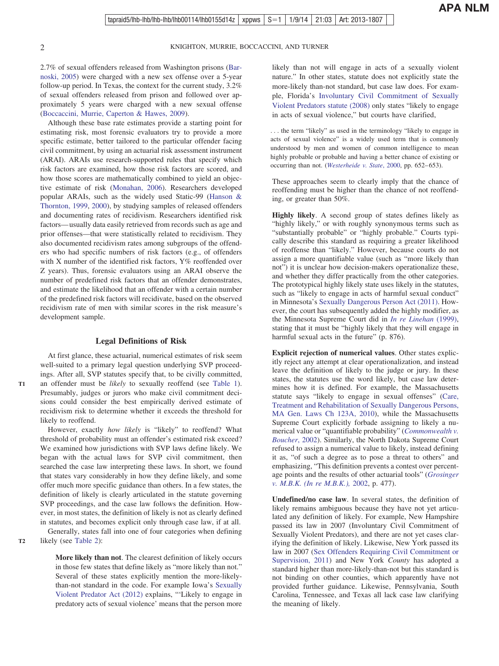2.7% of sexual offenders released from Washington prisons [\(Bar](#page-9-0)[noski, 2005\)](#page-9-0) were charged with a new sex offense over a 5-year follow-up period. In Texas, the context for the current study, 3.2% of sexual offenders released from prison and followed over approximately 5 years were charged with a new sexual offense [\(Boccaccini, Murrie, Caperton & Hawes, 2009\)](#page-9-1).

Although these base rate estimates provide a starting point for estimating risk, most forensic evaluators try to provide a more specific estimate, better tailored to the particular offender facing civil commitment, by using an actuarial risk assessment instrument (ARAI). ARAIs use research-supported rules that specify which risk factors are examined, how those risk factors are scored, and how those scores are mathematically combined to yield an objective estimate of risk [\(Monahan, 2006\)](#page-10-10). Researchers developed popular ARAIs, such as the widely used Static-99 [\(Hanson &](#page-10-11) [Thornton, 1999,](#page-10-11) [2000\)](#page-10-12), by studying samples of released offenders and documenting rates of recidivism. Researchers identified risk factors— usually data easily retrieved from records such as age and prior offenses—that were statistically related to recidivism. They also documented recidivism rates among subgroups of the offenders who had specific numbers of risk factors (e.g., of offenders with X number of the identified risk factors, Y% reoffended over Z years). Thus, forensic evaluators using an ARAI observe the number of predefined risk factors that an offender demonstrates, and estimate the likelihood that an offender with a certain number of the predefined risk factors will recidivate, based on the observed recidivism rate of men with similar scores in the risk measure's development sample.

#### **Legal Definitions of Risk**

At first glance, these actuarial, numerical estimates of risk seem well-suited to a primary legal question underlying SVP proceedings. After all, SVP statutes specify that, to be civilly committed, an offender must be *likely* to sexually reoffend (see [Table 1\)](#page-2-0). Presumably, judges or jurors who make civil commitment decisions could consider the best empirically derived estimate of recidivism risk to determine whether it exceeds the threshold for likely to reoffend.

However, exactly *how likely* is "likely" to reoffend? What threshold of probability must an offender's estimated risk exceed? We examined how jurisdictions with SVP laws define likely. We began with the actual laws for SVP civil commitment, then searched the case law interpreting these laws. In short, we found that states vary considerably in how they define likely, and some offer much more specific guidance than others. In a few states, the definition of likely is clearly articulated in the statute governing SVP proceedings, and the case law follows the definition. However, in most states, the definition of likely is not as clearly defined in statutes, and becomes explicit only through case law, if at all.

Generally, states fall into one of four categories when defining likely (see [Table 2\)](#page-5-0):

> **More likely than not**. The clearest definition of likely occurs in those few states that define likely as "more likely than not." Several of these states explicitly mention the more-likelythan-not standard in the code. For example Iowa's [Sexually](#page-10-13) [Violent Predator Act \(2012\)](#page-10-13) explains, "'Likely to engage in predatory acts of sexual violence' means that the person more

likely than not will engage in acts of a sexually violent nature." In other states, statute does not explicitly state the more-likely than-not standard, but case law does. For example, Florida's [Involuntary Civil Commitment of Sexually](#page-10-14) [Violent Predators statute \(2008\)](#page-10-14) only states "likely to engage in acts of sexual violence," but courts have clarified,

. . . the term "likely" as used in the terminology "likely to engage in acts of sexual violence" is a widely used term that is commonly understood by men and women of common intelligence to mean highly probable or probable and having a better chance of existing or occurring than not. (*[Westerheide v. State](#page-11-2)*, 2000, pp. 652– 653).

These approaches seem to clearly imply that the chance of reoffending must be higher than the chance of not reoffending, or greater than 50%.

**Highly likely**. A second group of states defines likely as "highly likely," or with roughly synonymous terms such as "substantially probable" or "highly probable." Courts typically describe this standard as requiring a greater likelihood of reoffense than "likely." However, because courts do not assign a more quantifiable value (such as "more likely than not") it is unclear how decision-makers operationalize these, and whether they differ practically from the other categories. The prototypical highly likely state uses likely in the statutes, such as "likely to engage in acts of harmful sexual conduct" in Minnesota's [Sexually Dangerous Person Act \(2011\).](#page-10-15) However, the court has subsequently added the highly modifier, as the Minnesota Supreme Court did in *[In re Linehan](#page-10-16)* (1999), stating that it must be "highly likely that they will engage in harmful sexual acts in the future" (p. 876).

**Explicit rejection of numerical values**. Other states explicitly reject any attempt at clear operationalization, and instead leave the definition of likely to the judge or jury. In these states, the statutes use the word likely, but case law determines how it is defined. For example, the Massachusetts statute says "likely to engage in sexual offenses" [\(Care,](#page-9-2) [Treatment and Rehabilitation of Sexually Dangerous Persons,](#page-9-2) [MA Gen. Laws Ch 123A, 2010\)](#page-9-2), while the Massachusetts Supreme Court explicitly forbade assigning to likely a numerical value or "quantifiable probability" (*[Commonwealth v.](#page-10-17) [Boucher](#page-10-17)*, 2002). Similarly, the North Dakota Supreme Court refused to assign a numerical value to likely, instead defining it as, "of such a degree as to pose a threat to others" and emphasizing, "This definition prevents a contest over percentage points and the results of other actuarial tools" (*[Grosinger](#page-10-18) [v. M.B.K. \(In re M.B.K.\),](#page-10-18)* 2002, p. 477).

**Undefined/no case law**. In several states, the definition of likely remains ambiguous because they have not yet articulated any definition of likely. For example, New Hampshire passed its law in 2007 (Involuntary Civil Commitment of Sexually Violent Predators), and there are not yet cases clarifying the definition of likely. Likewise, New York passed its law in 2007 [\(Sex Offenders Requiring Civil Commitment or](#page-10-19) [Supervision, 2011\)](#page-10-19) and New York *County* has adopted a standard higher than more-likely-than-not but this standard is not binding on other counties, which apparently have not provided further guidance. Likewise, Pennsylvania, South Carolina, Tennessee, and Texas all lack case law clarifying the meaning of likely.

**T2**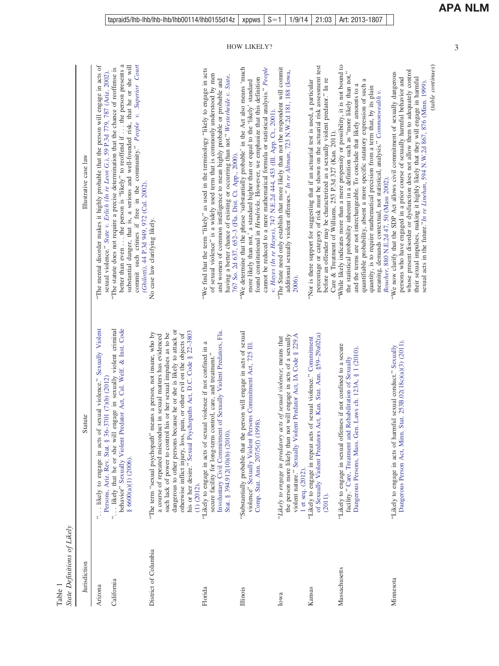<span id="page-2-0"></span>State Definitions of Likely *State Definitions of Likely* Table 1

| Jurisdiction          | Statute                                                                                                                                                                                                                                                                                | Illustrative case law                                                                                                                                                                                                                                                                                                                                                                                                                                                                                                                                       |
|-----------------------|----------------------------------------------------------------------------------------------------------------------------------------------------------------------------------------------------------------------------------------------------------------------------------------|-------------------------------------------------------------------------------------------------------------------------------------------------------------------------------------------------------------------------------------------------------------------------------------------------------------------------------------------------------------------------------------------------------------------------------------------------------------------------------------------------------------------------------------------------------------|
| California<br>Arizona | likely to engage in acts of sexual violence." Sexually Violent<br>behavior" Sexually Violent Predator Act, Cal. Welf. & Inst. Code<br>" likely that he or she will engage in sexually violent criminal<br>36-3701 (7)(b) (2012)<br>Persons, Ariz. Rev. Stat. §<br>§ 6600(a)(1) (2006). | better than even  the person is "likely" to reoffend if  the person presents a<br>"The mental disorder makes it highly probable that the person will engage in acts of<br>substantial danger, that is, a serious and well-founded risk, that he or she will<br>"The statute does not require a precise determination that the chance of reoffense is<br>sexual violence." State v. Erlich (In re Leon G.), 59 P.3d 779, 787 (Ariz. 2002).                                                                                                                   |
|                       |                                                                                                                                                                                                                                                                                        | commit such crimes if free in the community." People v. Superior Court<br>(Ghilotti), 44 P.3d 949, 972 (Cal. 2002).                                                                                                                                                                                                                                                                                                                                                                                                                                         |
| District of Columbia  | "The term "sexual psychopath" means a person, not insane, who by<br>such lack of power to control his or her sexual impulses as to be<br>a course of repeated misconduct in sexual matters has evidenced                                                                               | No case law clarifying likely.                                                                                                                                                                                                                                                                                                                                                                                                                                                                                                                              |
|                       | dangerous to other persons because he or she is likely to attack or<br>Psychopaths Act, D.C. Code § 22-3803<br>otherwise inflict injury, loss, pain, or other evil on the objects of<br>his or her desire." Sexual<br>$(1)$ $(2012)$ .                                                 |                                                                                                                                                                                                                                                                                                                                                                                                                                                                                                                                                             |
| Florida               | sexual violence if not confined in a<br>secure facility for long-term control, care, and treatment."<br>"Likely to engage in acts of                                                                                                                                                   | 'We find that the term "likely" as used in the terminology "likely to engage in acts<br>of sexual violence" is a widely used term that is commonly understood by men                                                                                                                                                                                                                                                                                                                                                                                        |
|                       | Involuntary Civil Commitment of Sexually Violent Predators, Fla.<br>Stat. § 394.912(10)(b) (2010).                                                                                                                                                                                     | having a better chance of existing or occurring than not." Westerheide v. State,<br>and women of common intelligence to mean highly probable or probable and<br>767 So. 2d 637, 652-3 (Fla. Dist. Ct. App., 2000).                                                                                                                                                                                                                                                                                                                                          |
| Illinois              | "Substantially probable that the person will engage in acts of sexual<br>violence" Sexually Violent Persons Commitment Act, 725 Ill.<br>(1998)<br>Comp. Stat. Ann. 207/5(f)                                                                                                            | "We determine that the phrase 'substantially probable' in the Act also means 'much<br>cannot be reduced to a mere mathematical formula or statistical analysis." People<br>found constitutional in <i>Hendricks</i> . However, we emphasize that this definition<br>more likely than not,' a standard higher than or equal to the 'likely' standard<br>v. Hayes (In re Hayes), 747 N.E.2d 444, 453 (Ill. App. Ct., 2001).                                                                                                                                   |
| Iowa                  | violent nature." Sexually Violent Predator Act, IA Code § 229.A<br>the person more likely than not will engage in acts of a sexually<br>"Likely to engage in predatory acts of sexual violence; means that<br>1 et seq. (2012).                                                        | "The State need only establish that more likely than not the respondent will commit<br>additional sexually violent offenses." In re Altman, 723 N.W.2d 181, 188 (Iowa,<br>2006).                                                                                                                                                                                                                                                                                                                                                                            |
| Kansas                | of Sexually Violent Predators Act, Kan. Stat. Ann. §59-29a02(a)<br>"Likely to engage in repeat acts of sexual violence." Commitment<br>(2011).                                                                                                                                         | "Nor is there support for suggesting that if an actuarial test is used, a particular percentage or category of risk must be shown on the actuarial risk assessment test<br>before an offender may be characterized as a sexually violent predator." In re<br>Care & Treatment of Williams, 253 P.3d 327 (Kan. 2011).                                                                                                                                                                                                                                        |
| Massachusetts         | "Likely to engage in sexual offenses if not confined to a secure<br>Gen. Laws ch. 123A, § 1 (2010).<br>and Rehabilitation of Sexually<br>Dangerous Persons, Mass.<br>facility." Care, Treatment                                                                                        | "While likely indicates more than a mere propensity or possibility, it is not bound to<br>the statistical probability inherent in a definition such as "more likely than not,"<br>a<br>quantifiable probability, absent a more specific statutory expression of such<br>and the terms are not interchangeable. To conclude that likely amounts to a<br>quantity, is to require mathematical precision from a term that, by its plain<br>meaning, demands contextual, not statistical, analysis." Commonwealth v.<br>Boucher, 880 N.E.2d 47, 50 (Mass 2002). |
| Minnesota             | Dangerous Person Act, Minn. Stat. 253B.02(18c)(a)(3) (2011).<br>harmful sexual conduct." Sexually<br>"Likely to engage in acts of                                                                                                                                                      | whose present disorder or dysfunction does not allow them to adequately control<br>"We now clarify that the SDP Act allows civil commitment of sexually dangerous<br>persons who have engaged in a prior course of sexually harmful behavior and<br>their sexual impulses, making it highly likely that they will engage in harmful<br>sexual acts in the future."In re Linehan, 594 N.W.2d 867, 876 (Minn. 1999).<br>$\ddot{ }$                                                                                                                            |

(*table continues*)

(table continues)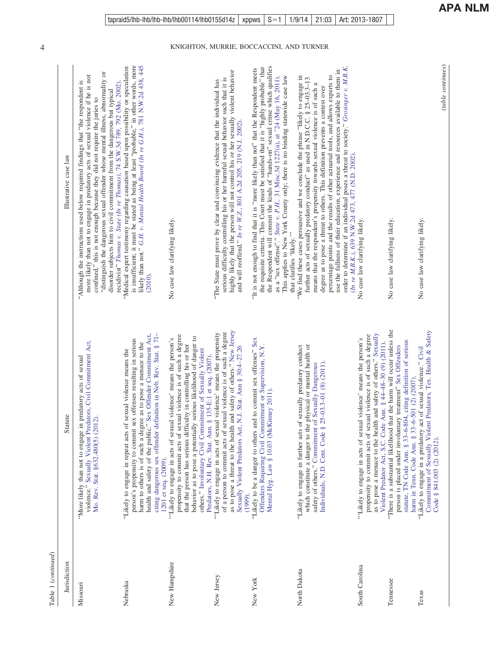Table 1 (continued) Table 1 (*continued*)

| Jurisdiction   | Statute                                                                                                                                                                                                                                                                                                                                                                                                       | Illustrative case law                                                                                                                                                                                                                                                                                                                                                                                                                                                                                                                                                                                                                              |
|----------------|---------------------------------------------------------------------------------------------------------------------------------------------------------------------------------------------------------------------------------------------------------------------------------------------------------------------------------------------------------------------------------------------------------------|----------------------------------------------------------------------------------------------------------------------------------------------------------------------------------------------------------------------------------------------------------------------------------------------------------------------------------------------------------------------------------------------------------------------------------------------------------------------------------------------------------------------------------------------------------------------------------------------------------------------------------------------------|
| Missouri       | violence." Sexually Violent Predators, Civil Commitment Act,<br>ge in predatory acts of sexual<br>(2012).<br>'More likely than not to enga<br>Mo. Rev. Stat. §632.480(5)                                                                                                                                                                                                                                      | "distinguish the dangerous sexual offender whose mental illness, abnormality or<br>more likely than not to engage in predatory acts of sexual violence if he is not<br>S.<br>recidivist" Thomas v. State (In re Thomas), 74 S.W.3d 789, 792 (Mo. 2002).<br>"Although the instructions used below required findings that "the respondent<br>disorder subjects him to civil commitment from the dangerous but typical<br>confined," this is not enough because they did not require the juries to                                                                                                                                                    |
| Nebraska       | citing dangerous sex offender definition in Neb. Rev. Stat. § 71-<br>health and safety of the public." Sex Offender Commitment Act,<br>person's propensity to commit sex offenses resulting in serious<br>harm to others is of such a degree as to pose a menace to the<br>"Likely to engage in repeat acts of sexual violence means the<br>1201 et seq. (2009).                                              | "Medical expert testimony regarding causation based upon possibility or speculation<br>is insufficient; it must be stated as being at least "probable," in other words, more<br>likely than not." <i>G.H.</i> v. <i>Mental Health Board (I</i><br>(2010).                                                                                                                                                                                                                                                                                                                                                                                          |
| New Hampshire  | propensity to commit acts of sexual violence is of such a degree<br>behavior as to pose a potentially serious likelihood of danger to<br>sexual violence' means the person's<br>that the person has serious difficulty in controlling his or her<br>others." Involuntary Civil Commitment of Sexually Violent<br>Ann. § 135-E:1 et seq. (2007).<br>"Likely to engage in acts of<br>Predators, N.H. Rev. Stat. | No case law clarifying likely.                                                                                                                                                                                                                                                                                                                                                                                                                                                                                                                                                                                                                     |
| New Jersey     | as to pose a threat to the health and safety of others." New Jersey<br>of a person to commit acts of sexual violence is of such a degree<br>"Likely to engage in acts of sexual violence' means the propensity<br>Sexually Violent Predators Act, N.J. Stat. Ann § 30:4-27.26<br>(1999).                                                                                                                      | highly likely that the person will not control his or her sexually violent behavior<br>serious difficulty controlling his or her harmful sexual behavior such that it is<br>"The State must prove by clear and convincing evidence that the individual has<br>and will reoffend." In re W.Z., 801 A.2d 205, 219 (N.J. 2002).                                                                                                                                                                                                                                                                                                                       |
| New York       | "Likely to be a danger to others and to commit sex offenses" Sex<br>Commitment or Supervision, N.Y.<br>(McKinney 2011).<br>Offenders Requiring Civil<br>Mental Hyg. Law § 10.03                                                                                                                                                                                                                               | the Respondent will commit the kinds of "hands-on" sexual crime which qualifies<br>the requisite criteria. This Court must be satisfied that it is "highly probable" that<br>"It is not enough to find that it is "more likely than not" that the Respondent meets<br>This applies to New York County only; there is no binding statewide case law<br>as a "sex offense"." State v. P.H., 31 Misc.3d 1227(a), at "24 (May 16, 2011).<br>that clarifies 'likely.""                                                                                                                                                                                  |
| North Dakota   | which constitute a danger to the physical or mental health or<br>"Likely to engage in further acts of sexually predatory conduct<br>Individuals, N.D. Cent. Code § 25-03.3-01 (8) (2011).<br>safety of others." Commitment of Sexually Dangerous                                                                                                                                                              | order to determine if an individual poses a threat to society." Grosinger v. M.B.K. (In re M.B.K.), 639 N.W.2d 473, 477 (N.D. 2002).<br>use the fullness of their education, experience and resources available to them in<br>"We find these cases persuasive and we conclude the phrase "likely to engage in<br>percentage points and the results of other actuarial tools, and allows experts to<br>further acts of sexually predatory conduct" as used in N.D.C.C. § 25-03.3-13<br>means that the respondent's propensity towards sexual violence is of such a<br>degree as to pose a threat to others. This definition prevents a contest over |
| South Carolina | as to pose a menace to the health and safety of others." Sexually<br>propensity to commit acts of sexual violence is of such a degree<br>"Likely to engage in acts of sexual violence' means the person's<br>Code Ann. § 44-48-30 (9) (2011).<br>Violent Predator Act, S.C.                                                                                                                                   | No case law clarifying likely.                                                                                                                                                                                                                                                                                                                                                                                                                                                                                                                                                                                                                     |
| Tennessee      | "There is a substantial likelihood that the harm will occur unless the<br>statute, TN Code Ann. § 33-6-804, citing definition of serious<br>person is placed under involuntary treatment" Sex Offenders<br>harm in Tenn. Code Ann. § 33-6-501 (2) (2007).                                                                                                                                                     | No case law clarifying likely.                                                                                                                                                                                                                                                                                                                                                                                                                                                                                                                                                                                                                     |
| Texas          | Commitment of Sexually Violent Predators, Tex. Health & Safety<br>"Likely to engage in a predatory act of sexual violence." Civil<br>Code § 841.003 (2) (2012).                                                                                                                                                                                                                                               | (table continues)<br>No case law clarifying likely.                                                                                                                                                                                                                                                                                                                                                                                                                                                                                                                                                                                                |

4 KNIGHTON, MURRIE, BOCCACCINI, AND TURNER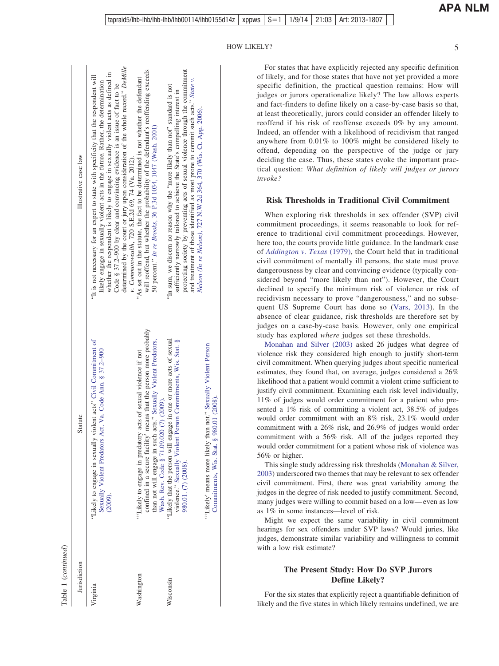For states that have explicitly rejected any specific definition of likely, and for those states that have not yet provided a more specific definition, the practical question remains: How will judges or jurors operationalize likely? The law allows experts and fact-finders to define likely on a case-by-case basis so that, at least theoretically, jurors could consider an offender likely to reoffend if his risk of reoffense exceeds 0% by any amount. Indeed, an offender with a likelihood of recidivism that ranged anywhere from 0.01% to 100% might be considered likely to offend, depending on the perspective of the judge or jury deciding the case. Thus, these states evoke the important practical question: *What definition of likely will judges or jurors invoke?*

#### **Risk Thresholds in Traditional Civil Commitment**

When exploring risk thresholds in sex offender (SVP) civil commitment proceedings, it seems reasonable to look for reference to traditional civil commitment proceedings. However, here too, the courts provide little guidance. In the landmark case of *[Addington v. Texas](#page-9-4)* (1979), the Court held that in traditional civil commitment of mentally ill persons, the state must prove dangerousness by clear and convincing evidence (typically considered beyond "more likely than not"). However, the Court declined to specify the minimum risk of violence or risk of recidivism necessary to prove "dangerousness," and no subsequent US Supreme Court has done so [\(Vars, 2013\)](#page-11-0). In the absence of clear guidance, risk thresholds are therefore set by judges on a case-by-case basis. However, only one empirical study has explored *where* judges set these thresholds.

[Monahan and Silver \(2003\)](#page-10-35) asked 26 judges what degree of violence risk they considered high enough to justify short-term civil commitment. When querying judges about specific numerical estimates, they found that, on average, judges considered a 26% likelihood that a patient would commit a violent crime sufficient to justify civil commitment. Examining each risk level individually, 11% of judges would order commitment for a patient who presented a 1% risk of committing a violent act, 38.5% of judges would order commitment with an 8% risk, 23.1% would order commitment with a 26% risk, and 26.9% of judges would order commitment with a 56% risk. All of the judges reported they would order commitment for a patient whose risk of violence was 56% or higher.

This single study addressing risk thresholds [\(Monahan & Silver,](#page-10-35) [2003\)](#page-10-35) underscored two themes that may be relevant to sex offender civil commitment. First, there was great variability among the judges in the degree of risk needed to justify commitment. Second, many judges were willing to commit based on a low— even as low as 1% in some instances—level of risk.

Might we expect the same variability in civil commitment hearings for sex offenders under SVP laws? Would juries, like judges, demonstrate similar variability and willingness to commit with a low risk estimate?

### **The Present Study: How Do SVP Jurors Define Likely?**

For the six states that explicitly reject a quantifiable definition of likely and the five states in which likely remains undefined, we are

| Jurisdiction      | Statute                                                                                                                                                                                                                                                     | Illustrative case law                                                                                                                                                                                                                                                                                                                                                                                                                                                             |
|-------------------|-------------------------------------------------------------------------------------------------------------------------------------------------------------------------------------------------------------------------------------------------------------|-----------------------------------------------------------------------------------------------------------------------------------------------------------------------------------------------------------------------------------------------------------------------------------------------------------------------------------------------------------------------------------------------------------------------------------------------------------------------------------|
| Virginia          | "Likely to engage in sexually violent acts" Civil Commitment of<br>Sexually Violent Predators Act, Va. Code Ann. § 37.2-900<br>(2009).                                                                                                                      | determined by the court or jury upon consideration of the whole record." DeMille<br>whether the respondent is likely to engage in sexually violent acts as defined in<br>"It is not necessary for an expert to state with specificity that the respondent will<br>likely engage in sexually violent acts in the future. Rather, the determination<br>Code § 37.2-900 by clear and convincing evidence is an issue of fact to be<br>v. Commonwealth, 720 S.E.2d 69, 74 (Va. 2012). |
| <b>Nashington</b> | means that the person more probably<br>acts." Sexually Violent Predators,<br>acts of sexual violence if not<br>Wash. Rev. Code § 71.09.020 (7) (2009).<br>"Likely to engage in predatory"<br>confined in a secure facility'<br>than not will engage in such | will reoffend, but whether the probability of the defendant's reoffending exceeds<br>"As set out in the statute, the fact to be determined is not whether the defendant<br>50 percent." In re Brooks, 36 P.3d 1034, 1047 (Wash. 2001)                                                                                                                                                                                                                                             |
| Wisconsin         | gage in one or more acts of sexual<br>violence." Sexually Violent Person Commitments, Wis. Stat. §<br>"Likely that the person will en-<br>980.01. (7) (2008).                                                                                               | protecting society by preventing acts of sexual violence through the commitment<br>and treatment of those identified as most prone to commit such acts." State $\nu$ .<br>"In sum, we discern no reason why the "more likely than not" standard is not<br>sufficiently narrowly tailored to achieve the State's compelling interest in<br>Nelson (In re Nelson), 727 N.W.2d 364, 370 (Wis. Ct. App. 2006).                                                                        |
|                   | "Likely' means more likely than not." Sexually Violent Person<br>Commitments, Wis. Stat. § 980.01 (2008).                                                                                                                                                   |                                                                                                                                                                                                                                                                                                                                                                                                                                                                                   |

Table 1 (

*continued*)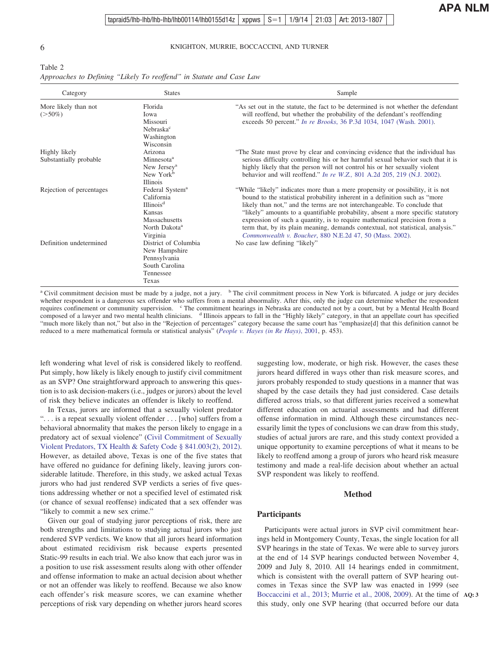| KNIGHTON, MURRIE, BOCCACCINI, AND TURNER |
|------------------------------------------|
|------------------------------------------|

<span id="page-5-0"></span>

| Table 2                                                             |  |  |  |  |
|---------------------------------------------------------------------|--|--|--|--|
| Approaches to Defining "Likely To reoffend" in Statute and Case Law |  |  |  |  |

| Category                                | <b>States</b>                                                                                                                             | Sample                                                                                                                                                                                                                                                                                                                                                                                                                                                                                                                                                        |
|-----------------------------------------|-------------------------------------------------------------------------------------------------------------------------------------------|---------------------------------------------------------------------------------------------------------------------------------------------------------------------------------------------------------------------------------------------------------------------------------------------------------------------------------------------------------------------------------------------------------------------------------------------------------------------------------------------------------------------------------------------------------------|
| More likely than not<br>$(>50\%)$       | Florida<br>Iowa<br>Missouri<br>Nebraska <sup>c</sup><br>Washington<br>Wisconsin                                                           | "As set out in the statute, the fact to be determined is not whether the defendant<br>will reoffend, but whether the probability of the defendant's reoffending<br>exceeds 50 percent." <i>In re Brooks</i> , 36 P.3d 1034, 1047 (Wash. 2001).                                                                                                                                                                                                                                                                                                                |
| Highly likely<br>Substantially probable | Arizona<br>Minnesota <sup>a</sup><br>New Jersey <sup>a</sup><br>New York <sup>b</sup><br><b>Illinois</b>                                  | "The State must prove by clear and convincing evidence that the individual has<br>serious difficulty controlling his or her harmful sexual behavior such that it is<br>highly likely that the person will not control his or her sexually violent<br>behavior and will reoffend." In re W.Z., 801 A.2d 205, 219 (N.J. 2002).                                                                                                                                                                                                                                  |
| Rejection of percentages                | Federal System <sup>a</sup><br>California<br>[Illinois <sup>d</sup> ]<br>Kansas<br>Massachusetts<br>North Dakota <sup>a</sup><br>Virginia | "While "likely" indicates more than a mere propensity or possibility, it is not<br>bound to the statistical probability inherent in a definition such as "more<br>likely than not," and the terms are not interchangeable. To conclude that<br>"likely" amounts to a quantifiable probability, absent a more specific statutory<br>expression of such a quantity, is to require mathematical precision from a<br>term that, by its plain meaning, demands contextual, not statistical, analysis."<br>Commonwealth v. Boucher, 880 N.E.2d 47, 50 (Mass. 2002). |
| Definition undetermined                 | District of Columbia<br>New Hampshire<br>Pennsylvania<br>South Carolina<br>Tennessee<br>Texas                                             | No case law defining "likely"                                                                                                                                                                                                                                                                                                                                                                                                                                                                                                                                 |

<sup>a</sup> Civil commitment decision must be made by a judge, not a jury. <sup>b</sup> The civil commitment process in New York is bifurcated. A judge or jury decides whether respondent is a dangerous sex offender who suffers from a mental abnormality. After this, only the judge can determine whether the respondent requires confinement or community supervision. c The commitment hearings in Nebraska are conducted not by a court, but by a Mental Health Board composed of a lawyer and two mental health clinicians. d Illinois appears to fall in the "Highly likely" category, in that an appellate court has specified "much more likely than not," but also in the "Rejection of percentages" category because the same court has "emphasize[d] that this definition cannot be reduced to a mere mathematical formula or statistical analysis" (*[People v. Hayes \(in Re Hays\)](#page-10-24)*, 2001, p. 453).

left wondering what level of risk is considered likely to reoffend. Put simply, how likely is likely enough to justify civil commitment as an SVP? One straightforward approach to answering this question is to ask decision-makers (i.e., judges or jurors) about the level of risk they believe indicates an offender is likely to reoffend.

In Texas, jurors are informed that a sexually violent predator ". . . is a repeat sexually violent offender . . . [who] suffers from a behavioral abnormality that makes the person likely to engage in a predatory act of sexual violence" [\(Civil Commitment of Sexually](#page-9-3) [Violent Predators, TX Health & Safety Code § 841.003\(2\), 2012\).](#page-9-3) However, as detailed above, Texas is one of the five states that have offered no guidance for defining likely, leaving jurors considerable latitude. Therefore, in this study, we asked actual Texas jurors who had just rendered SVP verdicts a series of five questions addressing whether or not a specified level of estimated risk (or chance of sexual reoffense) indicated that a sex offender was "likely to commit a new sex crime."

Given our goal of studying juror perceptions of risk, there are both strengths and limitations to studying actual jurors who just rendered SVP verdicts. We know that all jurors heard information about estimated recidivism risk because experts presented Static-99 results in each trial. We also know that each juror was in a position to use risk assessment results along with other offender and offense information to make an actual decision about whether or not an offender was likely to reoffend. Because we also know each offender's risk measure scores, we can examine whether perceptions of risk vary depending on whether jurors heard scores

suggesting low, moderate, or high risk. However, the cases these jurors heard differed in ways other than risk measure scores, and jurors probably responded to study questions in a manner that was shaped by the case details they had just considered. Case details differed across trials, so that different juries received a somewhat different education on actuarial assessments and had different offense information in mind. Although these circumstances necessarily limit the types of conclusions we can draw from this study, studies of actual jurors are rare, and this study context provided a unique opportunity to examine perceptions of what it means to be likely to reoffend among a group of jurors who heard risk measure testimony and made a real-life decision about whether an actual SVP respondent was likely to reoffend.

#### **Method**

#### **Participants**

Participants were actual jurors in SVP civil commitment hearings held in Montgomery County, Texas, the single location for all SVP hearings in the state of Texas. We were able to survey jurors at the end of 14 SVP hearings conducted between November 4, 2009 and July 8, 2010. All 14 hearings ended in commitment, which is consistent with the overall pattern of SVP hearing outcomes in Texas since the SVP law was enacted in 1999 (see [Boccaccini et al., 2013;](#page-9-6) [Murrie et al., 2008,](#page-10-38) [2009\)](#page-10-39). At the time of **AQ: 3** this study, only one SVP hearing (that occurred before our data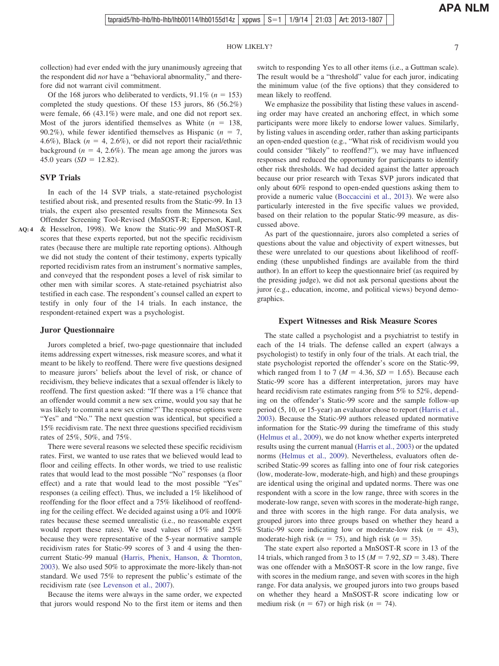collection) had ever ended with the jury unanimously agreeing that the respondent did *not* have a "behavioral abnormality," and therefore did not warrant civil commitment.

Of the 168 jurors who deliberated to verdicts,  $91.1\%$  ( $n = 153$ ) completed the study questions. Of these 153 jurors, 86 (56.2%) were female, 66 (43.1%) were male, and one did not report sex. Most of the jurors identified themselves as White  $(n = 138,$ 90.2%), while fewer identified themselves as Hispanic  $(n = 7,$ 4.6%), Black ( $n = 4$ , 2.6%), or did not report their racial/ethnic background ( $n = 4$ , 2.6%). The mean age among the jurors was 45.0 years  $(SD = 12.82)$ .

#### **SVP Trials**

In each of the 14 SVP trials, a state-retained psychologist testified about risk, and presented results from the Static-99. In 13 trials, the expert also presented results from the Minnesota Sex Offender Screening Tool-Revised (MnSOST-R; Epperson, Kaul,

& Hesselron, 1998). We know the Static-99 and MnSOST-R scores that these experts reported, but not the specific recidivism rates (because there are multiple rate reporting options). Although we did not study the content of their testimony, experts typically reported recidivism rates from an instrument's normative samples, and conveyed that the respondent poses a level of risk similar to other men with similar scores. A state-retained psychiatrist also testified in each case. The respondent's counsel called an expert to testify in only four of the 14 trials. In each instance, the respondent-retained expert was a psychologist.

#### **Juror Questionnaire**

Jurors completed a brief, two-page questionnaire that included items addressing expert witnesses, risk measure scores, and what it meant to be likely to reoffend. There were five questions designed to measure jurors' beliefs about the level of risk, or chance of recidivism, they believe indicates that a sexual offender is likely to reoffend. The first question asked: "If there was a 1% chance that an offender would commit a new sex crime, would you say that he was likely to commit a new sex crime?" The response options were "Yes" and "No." The next question was identical, but specified a 15% recidivism rate. The next three questions specified recidivism rates of 25%, 50%, and 75%.

There were several reasons we selected these specific recidivism rates. First, we wanted to use rates that we believed would lead to floor and ceiling effects. In other words, we tried to use realistic rates that would lead to the most possible "No" responses (a floor effect) and a rate that would lead to the most possible "Yes" responses (a ceiling effect). Thus, we included a 1% likelihood of reoffending for the floor effect and a 75% likelihood of reoffending for the ceiling effect. We decided against using a 0% and 100% rates because these seemed unrealistic (i.e., no reasonable expert would report these rates). We used values of 15% and 25% because they were representative of the 5-year normative sample recidivism rates for Static-99 scores of 3 and 4 using the thencurrent Static-99 manual [\(Harris, Phenix, Hanson, & Thornton,](#page-10-40) [2003\)](#page-10-40). We also used 50% to approximate the more-likely than-not standard. We used 75% to represent the public's estimate of the recidivism rate (see [Levenson et al., 2007\)](#page-10-5).

Because the items were always in the same order, we expected that jurors would respond No to the first item or items and then

switch to responding Yes to all other items (i.e., a Guttman scale). The result would be a "threshold" value for each juror, indicating the minimum value (of the five options) that they considered to mean likely to reoffend.

We emphasize the possibility that listing these values in ascending order may have created an anchoring effect, in which some participants were more likely to endorse lower values. Similarly, by listing values in ascending order, rather than asking participants an open-ended question (e.g., "What risk of recidivism would you could consider "likely" to reoffend?"), we may have influenced responses and reduced the opportunity for participants to identify other risk thresholds. We had decided against the latter approach because our prior research with Texas SVP jurors indicated that only about 60% respond to open-ended questions asking them to provide a numeric value [\(Boccaccini et al., 2013\)](#page-9-6). We were also particularly interested in the five specific values we provided, based on their relation to the popular Static-99 measure, as discussed above.

As part of the questionnaire, jurors also completed a series of questions about the value and objectivity of expert witnesses, but these were unrelated to our questions about likelihood of reoffending (these unpublished findings are available from the third author). In an effort to keep the questionnaire brief (as required by the presiding judge), we did not ask personal questions about the juror (e.g., education, income, and political views) beyond demographics.

#### **Expert Witnesses and Risk Measure Scores**

The state called a psychologist and a psychiatrist to testify in each of the 14 trials. The defense called an expert (always a psychologist) to testify in only four of the trials. At each trial, the state psychologist reported the offender's score on the Static-99, which ranged from 1 to 7 ( $M = 4.36$ ,  $SD = 1.65$ ). Because each Static-99 score has a different interpretation, jurors may have heard recidivism rate estimates ranging from 5% to 52%, depending on the offender's Static-99 score and the sample follow-up period (5, 10, or 15-year) an evaluator chose to report [\(Harris et al.,](#page-10-40) [2003\)](#page-10-40). Because the Static-99 authors released updated normative information for the Static-99 during the timeframe of this study [\(Helmus et al., 2009\)](#page-10-41), we do not know whether experts interpreted results using the current manual [\(Harris et al., 2003\)](#page-10-40) or the updated norms [\(Helmus et al., 2009\)](#page-10-41). Nevertheless, evaluators often described Static-99 scores as falling into one of four risk categories (low, moderate-low, moderate-high, and high) and these groupings are identical using the original and updated norms. There was one respondent with a score in the low range, three with scores in the moderate-low range, seven with scores in the moderate-high range, and three with scores in the high range. For data analysis, we grouped jurors into three groups based on whether they heard a Static-99 score indicating low or moderate-low risk  $(n = 43)$ , moderate-high risk ( $n = 75$ ), and high risk ( $n = 35$ ).

The state expert also reported a MnSOST-R score in 13 of the 14 trials, which ranged from 3 to 15 ( $M = 7.92$ ,  $SD = 3.48$ ). There was one offender with a MnSOST-R score in the low range, five with scores in the medium range, and seven with scores in the high range. For data analysis, we grouped jurors into two groups based on whether they heard a MnSOST-R score indicating low or medium risk ( $n = 67$ ) or high risk ( $n = 74$ ).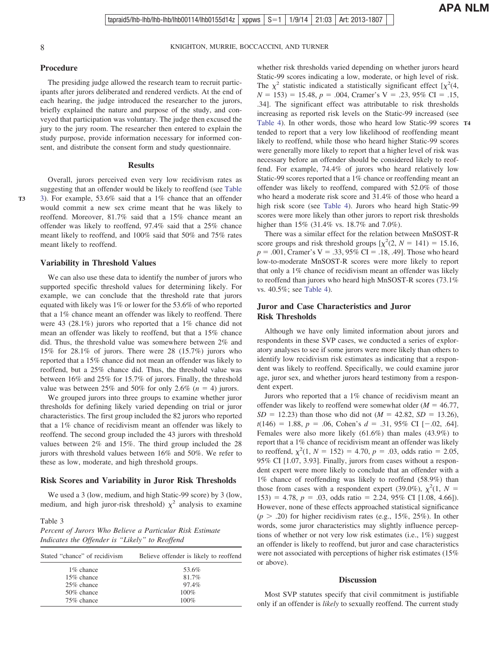## **Procedure**

The presiding judge allowed the research team to recruit participants after jurors deliberated and rendered verdicts. At the end of each hearing, the judge introduced the researcher to the jurors, briefly explained the nature and purpose of the study, and conveyed that participation was voluntary. The judge then excused the jury to the jury room. The researcher then entered to explain the study purpose, provide information necessary for informed consent, and distribute the consent form and study questionnaire.

#### **Results**

Overall, jurors perceived even very low recidivism rates as suggesting that an offender would be likely to reoffend (see [Table](#page-7-0) [3\)](#page-7-0). For example, 53.6% said that a 1% chance that an offender would commit a new sex crime meant that he was likely to reoffend. Moreover, 81.7% said that a 15% chance meant an offender was likely to reoffend, 97.4% said that a 25% chance meant likely to reoffend, and 100% said that 50% and 75% rates meant likely to reoffend.

#### **Variability in Threshold Values**

We can also use these data to identify the number of jurors who supported specific threshold values for determining likely. For example, we can conclude that the threshold rate that jurors equated with likely was 1% or lower for the 53.6% of who reported that a 1% chance meant an offender was likely to reoffend. There were 43 (28.1%) jurors who reported that a 1% chance did not mean an offender was likely to reoffend, but that a 15% chance did. Thus, the threshold value was somewhere between 2% and 15% for 28.1% of jurors. There were 28 (15.7%) jurors who reported that a 15% chance did not mean an offender was likely to reoffend, but a 25% chance did. Thus, the threshold value was between 16% and 25% for 15.7% of jurors. Finally, the threshold value was between  $25\%$  and  $50\%$  for only  $2.6\%$  ( $n = 4$ ) jurors.

We grouped jurors into three groups to examine whether juror thresholds for defining likely varied depending on trial or juror characteristics. The first group included the 82 jurors who reported that a 1% chance of recidivism meant an offender was likely to reoffend. The second group included the 43 jurors with threshold values between 2% and 15%. The third group included the 28 jurors with threshold values between 16% and 50%. We refer to these as low, moderate, and high threshold groups.

#### **Risk Scores and Variability in Juror Risk Thresholds**

We used a 3 (low, medium, and high Static-99 score) by 3 (low, medium, and high juror-risk threshold)  $\chi^2$  analysis to examine

<span id="page-7-0"></span>Table 3 *Percent of Jurors Who Believe a Particular Risk Estimate Indicates the Offender is "Likely" to Reoffend*

| Stated "chance" of recidivism | Believe offender is likely to reoffend |
|-------------------------------|----------------------------------------|
| 1\% chance                    | 53.6%                                  |
| 15% chance                    | 81.7%                                  |
| 25% chance                    | 97.4%                                  |
| 50% chance                    | 100%                                   |
| 75% chance                    | 100%                                   |

whether risk thresholds varied depending on whether jurors heard Static-99 scores indicating a low, moderate, or high level of risk. The  $\chi^2$  statistic indicated a statistically significant effect [ $\chi^2$ (4,  $N = 153$ ) = 15.48,  $p = .004$ , Cramer's V = .23, 95% CI = .15, .34]. The significant effect was attributable to risk thresholds increasing as reported risk levels on the Static-99 increased (see [Table 4\)](#page-8-0). In other words, those who heard low Static-99 scores **T4** tended to report that a very low likelihood of reoffending meant likely to reoffend, while those who heard higher Static-99 scores were generally more likely to report that a higher level of risk was necessary before an offender should be considered likely to reoffend. For example, 74.4% of jurors who heard relatively low Static-99 scores reported that a 1% chance or reoffending meant an offender was likely to reoffend, compared with 52.0% of those who heard a moderate risk score and 31.4% of those who heard a high risk score (see [Table 4\)](#page-8-0). Jurors who heard high Static-99 scores were more likely than other jurors to report risk thresholds higher than 15% (31.4% vs. 18.7% and 7.0%).

There was a similar effect for the relation between MnSOST-R score groups and risk threshold groups  $[\chi^2(2, N = 141) = 15.16,$  $p = .001$ , Cramer's V = .33, 95% CI = .18, .49]. Those who heard low-to-moderate MnSOST-R scores were more likely to report that only a 1% chance of recidivism meant an offender was likely to reoffend than jurors who heard high MnSOST-R scores (73.1% vs. 40.5%; see [Table 4\)](#page-8-0).

### **Juror and Case Characteristics and Juror Risk Thresholds**

Although we have only limited information about jurors and respondents in these SVP cases, we conducted a series of exploratory analyses to see if some jurors were more likely than others to identify low recidivism risk estimates as indicating that a respondent was likely to reoffend. Specifically, we could examine juror age, juror sex, and whether jurors heard testimony from a respondent expert.

Jurors who reported that a 1% chance of recidivism meant an offender was likely to reoffend were somewhat older  $(M = 46.77,$  $SD = 12.23$ ) than those who did not ( $M = 42.82$ ,  $SD = 13.26$ ),  $t(146) = 1.88$ ,  $p = .06$ , Cohen's  $d = .31, 95\%$  CI [ $-.02, .64$ ]. Females were also more likely (61.6%) than males (43.9%) to report that a 1% chance of recidivism meant an offender was likely to reoffend,  $\chi^2(1, N = 152) = 4.70, p = .03$ , odds ratio = 2.05, 95% CI [1.07, 3.93]. Finally, jurors from cases without a respondent expert were more likely to conclude that an offender with a 1% chance of reoffending was likely to reoffend (58.9%) than those from cases with a respondent expert (39.0%),  $\chi^2(1, N =$ 153) = 4.78,  $p = .03$ , odds ratio = 2.24, 95% CI [1.08, 4.66]). However, none of these effects approached statistical significance  $(p > .20)$  for higher recidivism rates (e.g., 15%, 25%). In other words, some juror characteristics may slightly influence perceptions of whether or not very low risk estimates (i.e., 1%) suggest an offender is likely to reoffend, but juror and case characteristics were not associated with perceptions of higher risk estimates (15% or above).

#### **Discussion**

Most SVP statutes specify that civil commitment is justifiable only if an offender is *likely* to sexually reoffend. The current study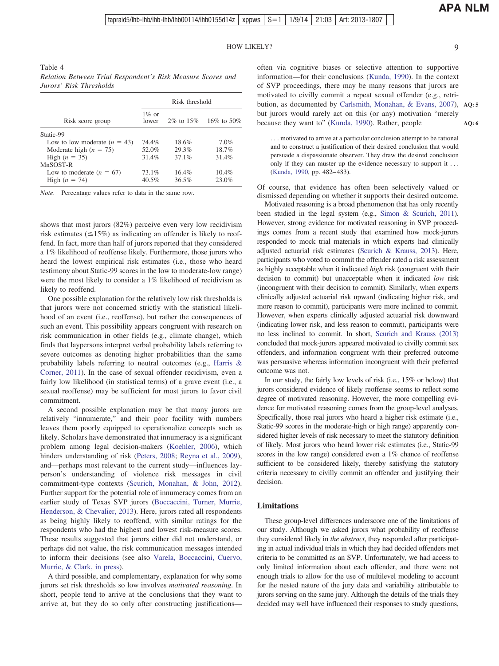<span id="page-8-0"></span>

| Table 4 |                         |                                                             |  |  |
|---------|-------------------------|-------------------------------------------------------------|--|--|
|         |                         | Relation Between Trial Respondent's Risk Measure Scores and |  |  |
|         | Jurors' Risk Thresholds |                                                             |  |  |

|                                | Risk threshold    |                 |              |  |  |  |
|--------------------------------|-------------------|-----------------|--------------|--|--|--|
| Risk score group               | $1\%$ or<br>lower | $2\%$ to $15\%$ | 16\% to 50\% |  |  |  |
| Static-99                      |                   |                 |              |  |  |  |
| Low to low moderate $(n = 43)$ | 74.4%             | 18.6%           | 7.0%         |  |  |  |
| Moderate high $(n = 75)$       | 52.0%             | 29.3%           | 18.7%        |  |  |  |
| High $(n = 35)$                | 31.4%             | 37.1%           | 31.4%        |  |  |  |
| MnSOST-R                       |                   |                 |              |  |  |  |
| Low to moderate $(n = 67)$     | 73.1%             | $16.4\%$        | 10.4%        |  |  |  |
| High $(n = 74)$                | $40.5\%$          | 36.5%           | 23.0%        |  |  |  |

*Note*. Percentage values refer to data in the same row.

shows that most jurors (82%) perceive even very low recidivism risk estimates ( $\leq$ 15%) as indicating an offender is likely to reoffend. In fact, more than half of jurors reported that they considered a 1% likelihood of reoffense likely. Furthermore, those jurors who heard the lowest empirical risk estimates (i.e., those who heard testimony about Static-99 scores in the low to moderate-low range) were the most likely to consider a 1% likelihood of recidivism as likely to reoffend.

One possible explanation for the relatively low risk thresholds is that jurors were not concerned strictly with the statistical likelihood of an event (i.e., reoffense), but rather the consequences of such an event. This possibility appears congruent with research on risk communication in other fields (e.g., climate change), which finds that laypersons interpret verbal probability labels referring to severe outcomes as denoting higher probabilities than the same probability labels referring to neutral outcomes (e.g., [Harris &](#page-10-42) [Corner, 2011\)](#page-10-42). In the case of sexual offender recidivism, even a fairly low likelihood (in statistical terms) of a grave event (i.e., a sexual reoffense) may be sufficient for most jurors to favor civil commitment.

A second possible explanation may be that many jurors are relatively "innumerate," and their poor facility with numbers leaves them poorly equipped to operationalize concepts such as likely. Scholars have demonstrated that innumeracy is a significant problem among legal decision-makers [\(Koehler, 2006\)](#page-10-43), which hinders understanding of risk [\(Peters, 2008;](#page-10-44) [Reyna et al., 2009\)](#page-10-45), and—perhaps most relevant to the current study—influences layperson's understanding of violence risk messages in civil commitment-type contexts [\(Scurich, Monahan, & John, 2012\)](#page-10-46). Further support for the potential role of innumeracy comes from an earlier study of Texas SVP jurors [\(Boccaccini, Turner, Murrie,](#page-9-6) [Henderson, & Chevalier, 2013\)](#page-9-6). Here, jurors rated all respondents as being highly likely to reoffend, with similar ratings for the respondents who had the highest and lowest risk-measure scores. These results suggested that jurors either did not understand, or perhaps did not value, the risk communication messages intended to inform their decisions (see also [Varela, Boccaccini, Cuervo,](#page-11-10) [Murrie, & Clark, in press\)](#page-11-10).

A third possible, and complementary, explanation for why some jurors set risk thresholds so low involves *motivated reasoning.* In short, people tend to arrive at the conclusions that they want to arrive at, but they do so only after constructing justificationsoften via cognitive biases or selective attention to supportive information—for their conclusions [\(Kunda, 1990\)](#page-10-47). In the context of SVP proceedings, there may be many reasons that jurors are motivated to civilly commit a repeat sexual offender (e.g., retribution, as documented by [Carlsmith, Monahan, & Evans, 2007\)](#page-9-7), **AQ: 5** but jurors would rarely act on this (or any) motivation "merely because they want to" [\(Kunda, 1990\)](#page-10-47). Rather, people

. . . motivated to arrive at a particular conclusion attempt to be rational and to construct a justification of their desired conclusion that would persuade a dispassionate observer. They draw the desired conclusion only if they can muster up the evidence necessary to support it . . . [\(Kunda, 1990,](#page-10-47) pp. 482-483).

Of course, that evidence has often been selectively valued or dismissed depending on whether it supports their desired outcome.

Motivated reasoning is a broad phenomenon that has only recently been studied in the legal system (e.g., [Simon & Scurich, 2011\)](#page-11-11). However, strong evidence for motivated reasoning in SVP proceedings comes from a recent study that examined how mock-jurors responded to mock trial materials in which experts had clinically adjusted actuarial risk estimates [\(Scurich & Krauss, 2013\)](#page-10-48). Here, participants who voted to commit the offender rated a risk assessment as highly acceptable when it indicated *high* risk (congruent with their decision to commit) but unacceptable when it indicated *low* risk (incongruent with their decision to commit). Similarly, when experts clinically adjusted actuarial risk upward (indicating higher risk, and more reason to commit), participants were more inclined to commit. However, when experts clinically adjusted actuarial risk downward (indicating lower risk, and less reason to commit), participants were no less inclined to commit. In short, [Scurich and Krauss \(2013\)](#page-10-48) concluded that mock-jurors appeared motivated to civilly commit sex offenders, and information congruent with their preferred outcome was persuasive whereas information incongruent with their preferred outcome was not.

In our study, the fairly low levels of risk (i.e., 15% or below) that jurors considered evidence of likely reoffense seems to reflect some degree of motivated reasoning. However, the more compelling evidence for motivated reasoning comes from the group-level analyses. Specifically, those real jurors who heard a higher risk estimate (i.e., Static-99 scores in the moderate-high or high range) apparently considered higher levels of risk necessary to meet the statutory definition of likely. Most jurors who heard lower risk estimates (i.e., Static-99 scores in the low range) considered even a 1% chance of reoffense sufficient to be considered likely, thereby satisfying the statutory criteria necessary to civilly commit an offender and justifying their decision.

#### **Limitations**

These group-level differences underscore one of the limitations of our study. Although we asked jurors what probability of reoffense they considered likely in *the abstract*, they responded after participating in actual individual trials in which they had decided offenders met criteria to be committed as an SVP. Unfortunately, we had access to only limited information about each offender, and there were not enough trials to allow for the use of multilevel modeling to account for the nested nature of the jury data and variability attributable to jurors serving on the same jury. Although the details of the trials they decided may well have influenced their responses to study questions,

**AQ: 6**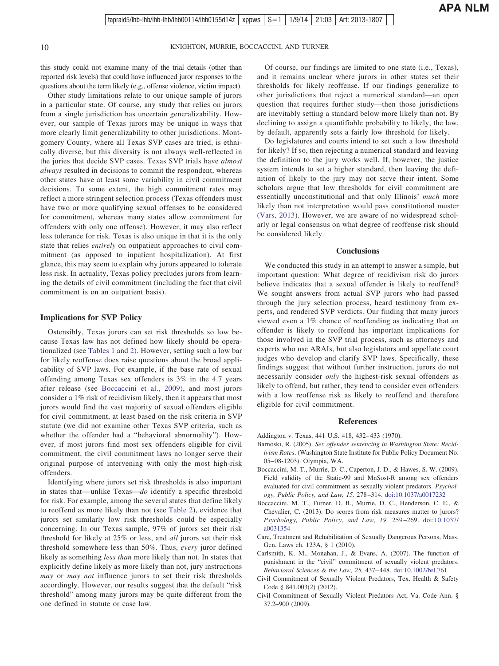this study could not examine many of the trial details (other than reported risk levels) that could have influenced juror responses to the questions about the term likely (e.g., offense violence, victim impact).

Other study limitations relate to our unique sample of jurors in a particular state. Of course, any study that relies on jurors from a single jurisdiction has uncertain generalizability. However, our sample of Texas jurors may be unique in ways that more clearly limit generalizability to other jurisdictions. Montgomery County, where all Texas SVP cases are tried, is ethnically diverse, but this diversity is not always well-reflected in the juries that decide SVP cases. Texas SVP trials have *almost always* resulted in decisions to commit the respondent, whereas other states have at least some variability in civil commitment decisions. To some extent, the high commitment rates may reflect a more stringent selection process (Texas offenders must have two or more qualifying sexual offenses to be considered for commitment, whereas many states allow commitment for offenders with only one offense). However, it may also reflect less tolerance for risk. Texas is also unique in that it is the only state that relies *entirely* on outpatient approaches to civil commitment (as opposed to inpatient hospitalization). At first glance, this may seem to explain why jurors appeared to tolerate less risk. In actuality, Texas policy precludes jurors from learning the details of civil commitment (including the fact that civil commitment is on an outpatient basis).

#### **Implications for SVP Policy**

Ostensibly, Texas jurors can set risk thresholds so low because Texas law has not defined how likely should be operationalized (see [Tables 1](#page-2-0) and [2\)](#page-5-0). However, setting such a low bar for likely reoffense does raise questions about the broad applicability of SVP laws. For example, if the base rate of sexual offending among Texas sex offenders is 3% in the 4.7 years after release (see [Boccaccini et al., 2009\)](#page-9-1), and most jurors consider a 1% risk of recidivism likely, then it appears that most jurors would find the vast majority of sexual offenders eligible for civil commitment, at least based on the risk criteria in SVP statute (we did not examine other Texas SVP criteria, such as whether the offender had a "behavioral abnormality"). However, if most jurors find most sex offenders eligible for civil commitment, the civil commitment laws no longer serve their original purpose of intervening with only the most high-risk offenders.

Identifying where jurors set risk thresholds is also important in states that— unlike Texas—*do* identify a specific threshold for risk. For example, among the several states that define likely to reoffend as more likely than not (see [Table 2\)](#page-5-0), evidence that jurors set similarly low risk thresholds could be especially concerning. In our Texas sample, 97% of jurors set their risk threshold for likely at 25% or less, and *all* jurors set their risk threshold somewhere less than 50%. Thus, *every* juror defined likely as something *less than* more likely than not. In states that explicitly define likely as more likely than not, jury instructions *may* or *may not* influence jurors to set their risk thresholds accordingly. However, our results suggest that the default "risk threshold" among many jurors may be quite different from the one defined in statute or case law.

Of course, our findings are limited to one state (i.e., Texas), and it remains unclear where jurors in other states set their thresholds for likely reoffense. If our findings generalize to other jurisdictions that reject a numerical standard—an open question that requires further study—then those jurisdictions are inevitably setting a standard below more likely than not. By declining to assign a quantifiable probability to likely, the law, by default, apparently sets a fairly low threshold for likely.

Do legislatures and courts intend to set such a low threshold for likely? If so, then rejecting a numerical standard and leaving the definition to the jury works well. If, however, the justice system intends to set a higher standard, then leaving the definition of likely to the jury may not serve their intent. Some scholars argue that low thresholds for civil commitment are essentially unconstitutional and that only Illinois' *much* more likely than not interpretation would pass constitutional muster [\(Vars, 2013\)](#page-11-0). However, we are aware of no widespread scholarly or legal consensus on what degree of reoffense risk should be considered likely.

#### **Conclusions**

We conducted this study in an attempt to answer a simple, but important question: What degree of recidivism risk do jurors believe indicates that a sexual offender is likely to reoffend? We sought answers from actual SVP jurors who had passed through the jury selection process, heard testimony from experts, and rendered SVP verdicts. Our finding that many jurors viewed even a 1% chance of reoffending as indicating that an offender is likely to reoffend has important implications for those involved in the SVP trial process, such as attorneys and experts who use ARAIs, but also legislators and appellate court judges who develop and clarify SVP laws. Specifically, these findings suggest that without further instruction, jurors do not necessarily consider *only* the highest-risk sexual offenders as likely to offend, but rather, they tend to consider even offenders with a low reoffense risk as likely to reoffend and therefore eligible for civil commitment.

#### **References**

- <span id="page-9-4"></span><span id="page-9-0"></span>Addington v. Texas, 441 U.S. 418, 432– 433 (1970).
- Barnoski, R. (2005). *Sex offender sentencing in Washington State: Recidivism Rates*. (Washington State Institute for Public Policy Document No. 05– 08-1203). Olympia, WA.
- <span id="page-9-1"></span>Boccaccini, M. T., Murrie, D. C., Caperton, J. D., & Hawes, S. W. (2009). Field validity of the Static-99 and MnSost-R among sex offenders evaluated for civil commitment as sexually violent predators. *Psychology, Public Policy, and Law, 15,* 278 –314. [doi:10.1037/a0017232](http://dx.doi.org/10.1037/a0017232)
- <span id="page-9-6"></span>Boccaccini, M. T., Turner, D. B., Murrie, D. C., Henderson, C. E., & Chevalier, C. (2013). Do scores from risk measures matter to jurors? *Psychology, Public Policy, and Law, 19,* 259 –269. [doi:10.1037/](http://dx.doi.org/10.1037/a0031354) [a0031354](http://dx.doi.org/10.1037/a0031354)
- <span id="page-9-2"></span>Care, Treatment and Rehabilitation of Sexually Dangerous Persons, Mass. Gen. Laws ch. 123A, § 1 (2010).
- <span id="page-9-7"></span>Carlsmith, K. M., Monahan, J., & Evans, A. (2007). The function of punishment in the "civil" commitment of sexually violent predators. *Behavioral Sciences & the Law, 25,* 437– 448. [doi:10.1002/bsl.761](http://dx.doi.org/10.1002/bsl.761)
- <span id="page-9-3"></span>Civil Commitment of Sexually Violent Predators, Tex. Health & Safety Code § 841.003(2) (2012).
- <span id="page-9-5"></span>Civil Commitment of Sexually Violent Predators Act, Va. Code Ann. § 37.2–900 (2009).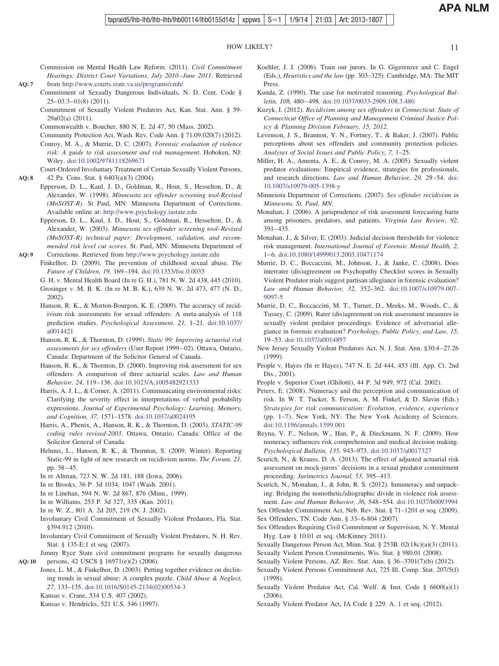<span id="page-10-33"></span>Commission on Mental Health Law Reform. (2011). *Civil Commitment Hearings: District Court Variations, July 2010 –June 2011*. Retrieved from <http://www.courts.state.va.us/programs/cmh/>

- <span id="page-10-32"></span><span id="page-10-26"></span>Commitment of Sexually Dangerous Individuals, N. D. Cent. Code § 25– 03.3– 01(8) (2011).
	- Commitment of Sexually Violent Predators Act, Kan. Stat. Ann. § 59- 29a02(a) (2011).

<span id="page-10-17"></span>Commonwealth v. Boucher, 880 N. E. 2d 47, 50 (Mass. 2002).

- <span id="page-10-4"></span><span id="page-10-0"></span>Community Protection Act, Wash. Rev. Code Ann. § 71.09.020(7) (2012). Conroy, M. A., & Murrie, D. C. (2007). *Forensic evaluation of violence risk: A guide to risk assessment and risk management*. Hoboken, NJ: Wiley. [doi:10.1002/9781118269671](http://dx.doi.org/10.1002/9781118269671)
- Court-Ordered Involuntary Treatment of Certain Sexually Violent Persons, 42 Pa. Cons. Stat. § 6403(a)(3) (2004). **AQ: 8**
	- Epperson, D. L., Kaul, J. D., Goldman, R., Hout, S., Hesselton, D., & Alexander, W. (1998). *Minnesota sex offender screening tool-Revised (MnSOST-R)*. St Paul, MN: Minnesota Department of Corrections. Available online at: <http://www.psychology.iastate.edu>
		- Epperson, D. L., Kaul, J. D., Hout, S., Goldman, R., Hesselton, D., & Alexander, W. (2003). *Minnesota sex offender screening tool–Revised (MnSOST-R) technical paper: Development, validation, and recommended risk level cut scores*. St. Paul, MN: Minnesota Department of Corrections. Retrieved from <http://www.psychology.iastate.edu>

**AQ: 9**

 $\frac{1}{2}$ 

**AQ: 7**

- <span id="page-10-7"></span>Finkelhor, D. (2009). The prevention of childhood sexual abuse. *The Future of Children, 19,* 169 –194. [doi:10.1353/foc.0.0035](http://dx.doi.org/10.1353/foc.0.0035)
- <span id="page-10-28"></span>G. H. v. Mental Health Board (In re G. H.), 781 N. W. 2d 438, 445 (2010).
- <span id="page-10-18"></span>Grosinger v. M. B. K. (In re M. B. K.), 639 N. W. 2d 473, 477 (N. D., 2002).
- <span id="page-10-6"></span>Hanson, R. K., & Morton-Bourgon, K. E. (2009). The accuracy of recidivism risk assessments for sexual offenders: A meta-analysis of 118 prediction studies. *Psychological Assessment, 21,* 1–21. [doi:10.1037/](http://dx.doi.org/10.1037/a0014421) [a0014421](http://dx.doi.org/10.1037/a0014421)
- <span id="page-10-11"></span>Hanson, R. K., & Thornton, D. (1999). *Static 99: Improving actuarial risk assessments for sex offenders* (User Report 1999 – 02). Ottawa, Ontario, Canada: Department of the Solicitor General of Canada.
- <span id="page-10-12"></span>Hanson, R. K., & Thornton, D. (2000). Improving risk assessment for sex offenders: A comparison of three actuarial scales. *Law and Human Behavior, 24,* 119 –136. [doi:10.1023/A:1005482921333](http://dx.doi.org/10.1023/A:1005482921333)
- <span id="page-10-42"></span>Harris, A. J. L., & Corner, A. (2011). Communicating environmental risks: Clarifying the severity effect in interpretations of verbal probability expressions. *Journal of Experimental Psychology: Learning, Memory, and Cognition, 37,* 1571–1578. [doi:10.1037/a0024195](http://dx.doi.org/10.1037/a0024195)
- <span id="page-10-40"></span>Harris, A., Phenix, A., Hanson, R. K., & Thornton, D. (2003). *STATIC-99 coding rules revised-2003*. Ottawa, Ontario, Canada: Office of the Solicitor General of Canada.
- <span id="page-10-41"></span>Helmus, L., Hanson, R. K., & Thornton, S. (2009, Winter). Reporting Static-99 in light of new research on recidivism norms. *The Forum, 21,* pp. 38 – 45.
- <span id="page-10-36"></span><span id="page-10-25"></span>In re Altman, 723 N. W. 2d 181, 188 (Iowa, 2006).
- <span id="page-10-16"></span>In re Brooks, 36 P. 3d 1034, 1047 (Wash. 2001).
- In re Linehan, 594 N. W. 2d 867, 876 (Minn., 1999).
- <span id="page-10-31"></span>In re Williams, 253 P. 3d 327, 335 (Kan. 2011).
- <span id="page-10-14"></span>In re W. Z., 801 A. 2d 205, 219 (N. J. 2002).
- Involuntary Civil Commitment of Sexually Violent Predators, Fla. Stat. §394.912 (2010).
- <span id="page-10-29"></span>Involuntary Civil Commitment of Sexually Violent Predators, N. H. Rev. Stat. § 135-E:1 et seq. (2007).
- <span id="page-10-8"></span>Jimmy Ryce State civil commitment programs for sexually dangerous persons, 42 USCS § 16971(e)(2) (2006). **AQ: 10**
	- Jones, L. M., & Finkelhor, D. (2003). Putting together evidence on declining trends in sexual abuse: A complex puzzle. *Child Abuse & Neglect, 27,* 133–135. [doi:10.1016/S0145-2134\(02\)00534-3](http://dx.doi.org/10.1016/S0145-2134%2802%2900534-3)

<span id="page-10-2"></span><span id="page-10-1"></span>Kansas v. Crane, 534 U.S. 407 (2002).

Kansas v. Hendricks, 521 U.S. 346 (1997).

- <span id="page-10-43"></span>Koehler, J. J. (2006). Train our jurors. In G. Gigerenzer and C. Engel (Eds.), *Heuristics and the law* (pp. 303–325). Cambridge, MA: The MIT Press.
- <span id="page-10-47"></span>Kunda, Z. (1990). The case for motivated reasoning. *Psychological Bulletin, 108,* 480 – 498. [doi:10.1037/0033-2909.108.3.480](http://dx.doi.org/10.1037/0033-2909.108.3.480)
- <span id="page-10-9"></span>Kuzyk, I. (2012). *Recidivism among sex offenders in Connecticut. State of Connecticut Office of Planning and Management Criminal Justice Policy & Planning Division February, 15, 2012*.
- <span id="page-10-5"></span>Levenson, J. S., Brannon, Y. N., Fortney, T., & Baker, J. (2007). Public perceptions about sex offenders and community protection policies. *Analyses of Social Issues and Public Policy, 7,* 1–25.
- <span id="page-10-3"></span>Miller, H. A., Amenta, A. E., & Conroy, M. A. (2005). Sexually violent predator evaluations: Empirical evidence, strategies for professionals, and research directions. *Law and Human Behavior, 29,* 29 –54. [doi:](http://dx.doi.org/10.1007/s10979-005-1398-y) [10.1007/s10979-005-1398-y](http://dx.doi.org/10.1007/s10979-005-1398-y)
- Minnesota Department of Corrections. (2007). *Sex offender recidivism in Minnesota. St. Paul, MN*.
- <span id="page-10-10"></span>Monahan, J. (2006). A jurisprudence of risk assessment forecasting harm among prisoners, predators, and patients. *Virginia Law Review, 92,*  $391 - 435$ .
- <span id="page-10-35"></span>Monahan, J., & Silver, E. (2003). Judicial decision thresholds for violence risk management. *International Journal of Forensic Mental Health, 2,* 1– 6. [doi:10.1080/14999013.2003.10471174](http://dx.doi.org/10.1080/14999013.2003.10471174)
- <span id="page-10-38"></span>Murrie, D. C., Boccaccini, M., Johnson, J., & Janke, C. (2008). Does interrater (dis)agreement on Psychopathy Checklist scores in Sexually Violent Predator trials suggest partisan allegiance in forensic evaluation? *Law and Human Behavior, 32,* 352–362. [doi:10.1007/s10979-007-](http://dx.doi.org/10.1007/s10979-007-9097-5) [9097-5](http://dx.doi.org/10.1007/s10979-007-9097-5)
- <span id="page-10-39"></span>Murrie, D. C., Boccaccini, M. T., Turner, D., Meeks, M., Woods, C., & Tussey, C. (2009). Rater (dis)agreement on risk assessment measures in sexually violent predator proceedings: Evidence of adversarial allegiance in forensic evaluation? *Psychology, Public Policy, and Law, 15,* 19 –53. [doi:10.1037/a0014897](http://dx.doi.org/10.1037/a0014897)
- <span id="page-10-30"></span>New Jersey Sexually Violent Predators Act, N. J. Stat. Ann. §30:4 –27.26 (1999).
- <span id="page-10-24"></span>People v. Hayes (In re Hayes), 747 N. E. 2d 444, 453 (Ill. App. Ct. 2nd Dis., 2001).
- <span id="page-10-44"></span><span id="page-10-22"></span>People v. Superior Court (Ghilotti), 44 P. 3d 949, 972 (Cal. 2002).
- Peters, E. (2008). Numeracy and the perception and communication of risk. In W. T. Tucker, S. Ferson, A. M. Finkel, & D. Slavin (Eds.) *Strategies for risk communication: Evolution, evidence, experience* (pp. 1–7). New York, NY: The New York Academy of Sciences. [doi:10.1196/annals.1399.001](http://dx.doi.org/10.1196/annals.1399.001)
- <span id="page-10-45"></span>Reyna, V. F., Nelson, W., Han, P., & Dieckmann, N. F. (2009). How numeracy influences risk comprehension and medical decision making. *Psychological Bulletin, 135,* 943–973. [doi:10.1037/a0017327](http://dx.doi.org/10.1037/a0017327)
- <span id="page-10-48"></span>Scurich, N., & Krauss, D. A. (2013). The effect of adjusted actuarial risk assessment on mock-jurors' decisions in a sexual predator commitment proceeding. *Jurimetrics Journal, 53,* 395– 413.
- <span id="page-10-46"></span>Scurich, N., Monahan, J., & John, R. S. (2012). Innumeracy and unpacking: Bridging the nomothetic/idiographic divide in violence risk assessment. *Law and Human Behavior, 36,* 548 –554. [doi:10.1037/h0093994](http://dx.doi.org/10.1037/h0093994)

<span id="page-10-34"></span><span id="page-10-27"></span>Sex Offender Commitment Act, Neb. Rev. Stat. § 71–1201 et seq. (2009). Sex Offenders, TN. Code Ann. § 33-6-804 (2007).

<span id="page-10-19"></span>Sex Offenders Requiring Civil Commitment or Supervision, N. Y. Mental Hyg. Law § 10.01 et seq. (McKinney 2011).

<span id="page-10-37"></span><span id="page-10-15"></span>Sexually Dangerous Person Act, Minn. Stat. § 253B. 02(18c)(a)(3) (2011). Sexually Violent Person Commitments, Wis. Stat. § 980.01 (2008).

- <span id="page-10-20"></span>Sexually Violent Persons, AZ. Rev. Stat. Ann. § 36 –3701(7)(b) (2012).
- <span id="page-10-23"></span>Sexually Violent Persons Commitment Act, 725 Ill. Comp. Stat. 207/5(f) (1998).
- <span id="page-10-21"></span>Sexually Violent Predator Act, Cal. Welf. & Inst. Code § 6600(a)(1) (2006).
- <span id="page-10-13"></span>Sexually Violent Predator Act, IA Code § 229. A. 1 et seq. (2012).